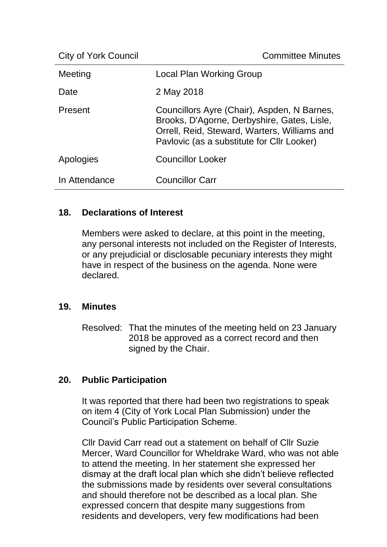City of York Council **Committee Minutes** 

| Meeting       | Local Plan Working Group                                                                                                                                                                 |
|---------------|------------------------------------------------------------------------------------------------------------------------------------------------------------------------------------------|
| Date          | 2 May 2018                                                                                                                                                                               |
| Present       | Councillors Ayre (Chair), Aspden, N Barnes,<br>Brooks, D'Agorne, Derbyshire, Gates, Lisle,<br>Orrell, Reid, Steward, Warters, Williams and<br>Pavlovic (as a substitute for Cllr Looker) |
| Apologies     | <b>Councillor Looker</b>                                                                                                                                                                 |
| In Attendance | <b>Councillor Carr</b>                                                                                                                                                                   |

## **18. Declarations of Interest**

Members were asked to declare, at this point in the meeting, any personal interests not included on the Register of Interests, or any prejudicial or disclosable pecuniary interests they might have in respect of the business on the agenda. None were declared.

## **19. Minutes**

Resolved: That the minutes of the meeting held on 23 January 2018 be approved as a correct record and then signed by the Chair.

## **20. Public Participation**

It was reported that there had been two registrations to speak on item 4 (City of York Local Plan Submission) under the Council's Public Participation Scheme.

Cllr David Carr read out a statement on behalf of Cllr Suzie Mercer, Ward Councillor for Wheldrake Ward, who was not able to attend the meeting. In her statement she expressed her dismay at the draft local plan which she didn't believe reflected the submissions made by residents over several consultations and should therefore not be described as a local plan. She expressed concern that despite many suggestions from residents and developers, very few modifications had been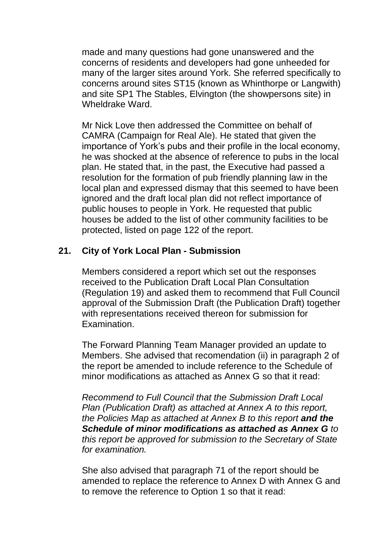made and many questions had gone unanswered and the concerns of residents and developers had gone unheeded for many of the larger sites around York. She referred specifically to concerns around sites ST15 (known as Whinthorpe or Langwith) and site SP1 The Stables, Elvington (the showpersons site) in Wheldrake Ward.

Mr Nick Love then addressed the Committee on behalf of CAMRA (Campaign for Real Ale). He stated that given the importance of York's pubs and their profile in the local economy, he was shocked at the absence of reference to pubs in the local plan. He stated that, in the past, the Executive had passed a resolution for the formation of pub friendly planning law in the local plan and expressed dismay that this seemed to have been ignored and the draft local plan did not reflect importance of public houses to people in York. He requested that public houses be added to the list of other community facilities to be protected, listed on page 122 of the report.

## **21. City of York Local Plan - Submission**

Members considered a report which set out the responses received to the Publication Draft Local Plan Consultation (Regulation 19) and asked them to recommend that Full Council approval of the Submission Draft (the Publication Draft) together with representations received thereon for submission for Examination.

The Forward Planning Team Manager provided an update to Members. She advised that recomendation (ii) in paragraph 2 of the report be amended to include reference to the Schedule of minor modifications as attached as Annex G so that it read:

*Recommend to Full Council that the Submission Draft Local Plan (Publication Draft) as attached at Annex A to this report, the Policies Map as attached at Annex B to this report and the Schedule of minor modifications as attached as Annex G to this report be approved for submission to the Secretary of State for examination.*

She also advised that paragraph 71 of the report should be amended to replace the reference to Annex D with Annex G and to remove the reference to Option 1 so that it read: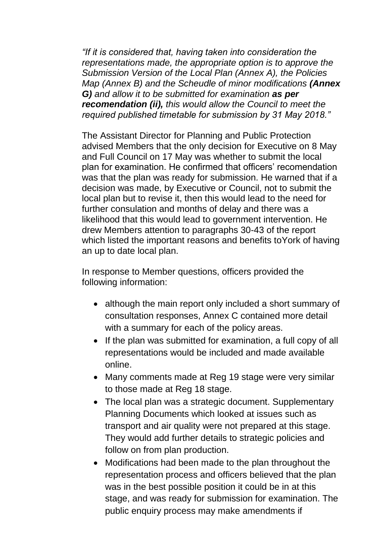*"If it is considered that, having taken into consideration the representations made, the appropriate option is to approve the Submission Version of the Local Plan (Annex A), the Policies Map (Annex B) and the Scheudle of minor modifications (Annex G) and allow it to be submitted for examination as per recomendation (ii), this would allow the Council to meet the required published timetable for submission by 31 May 2018."*

The Assistant Director for Planning and Public Protection advised Members that the only decision for Executive on 8 May and Full Council on 17 May was whether to submit the local plan for examination. He confirmed that officers' recomendation was that the plan was ready for submission. He warned that if a decision was made, by Executive or Council, not to submit the local plan but to revise it, then this would lead to the need for further consulation and months of delay and there was a likelihood that this would lead to government intervention. He drew Members attention to paragraphs 30-43 of the report which listed the important reasons and benefits toYork of having an up to date local plan.

In response to Member questions, officers provided the following information:

- although the main report only included a short summary of consultation responses, Annex C contained more detail with a summary for each of the policy areas.
- If the plan was submitted for examination, a full copy of all representations would be included and made available online.
- Many comments made at Reg 19 stage were very similar to those made at Reg 18 stage.
- The local plan was a strategic document. Supplementary Planning Documents which looked at issues such as transport and air quality were not prepared at this stage. They would add further details to strategic policies and follow on from plan production.
- Modifications had been made to the plan throughout the representation process and officers believed that the plan was in the best possible position it could be in at this stage, and was ready for submission for examination. The public enquiry process may make amendments if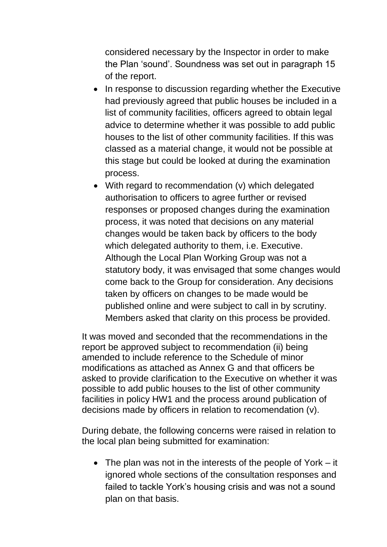considered necessary by the Inspector in order to make the Plan 'sound'. Soundness was set out in paragraph 15 of the report.

- In response to discussion regarding whether the Executive had previously agreed that public houses be included in a list of community facilities, officers agreed to obtain legal advice to determine whether it was possible to add public houses to the list of other community facilities. If this was classed as a material change, it would not be possible at this stage but could be looked at during the examination process.
- With regard to recommendation (v) which delegated authorisation to officers to agree further or revised responses or proposed changes during the examination process, it was noted that decisions on any material changes would be taken back by officers to the body which delegated authority to them, i.e. Executive. Although the Local Plan Working Group was not a statutory body, it was envisaged that some changes would come back to the Group for consideration. Any decisions taken by officers on changes to be made would be published online and were subject to call in by scrutiny. Members asked that clarity on this process be provided.

It was moved and seconded that the recommendations in the report be approved subject to recommendation (ii) being amended to include reference to the Schedule of minor modifications as attached as Annex G and that officers be asked to provide clarification to the Executive on whether it was possible to add public houses to the list of other community facilities in policy HW1 and the process around publication of decisions made by officers in relation to recomendation (v).

During debate, the following concerns were raised in relation to the local plan being submitted for examination:

• The plan was not in the interests of the people of York  $-$  it ignored whole sections of the consultation responses and failed to tackle York's housing crisis and was not a sound plan on that basis.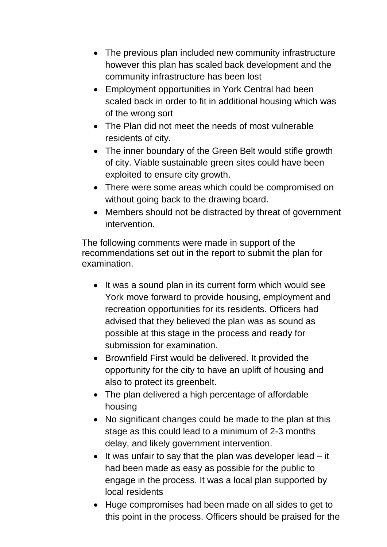- The previous plan included new community infrastructure however this plan has scaled back development and the community infrastructure has been lost
- Employment opportunities in York Central had been scaled back in order to fit in additional housing which was of the wrong sort
- The Plan did not meet the needs of most vulnerable residents of city.
- The inner boundary of the Green Belt would stifle growth of city. Viable sustainable green sites could have been exploited to ensure city growth.
- There were some areas which could be compromised on without going back to the drawing board.
- Members should not be distracted by threat of government intervention.

The following comments were made in support of the recommendations set out in the report to submit the plan for examination.

- It was a sound plan in its current form which would see York move forward to provide housing, employment and recreation opportunities for its residents. Officers had advised that they believed the plan was as sound as possible at this stage in the process and ready for submission for examination.
- Brownfield First would be delivered. It provided the opportunity for the city to have an uplift of housing and also to protect its greenbelt.
- The plan delivered a high percentage of affordable housing
- No significant changes could be made to the plan at this stage as this could lead to a minimum of 2-3 months delay, and likely government intervention.
- $\bullet$  It was unfair to say that the plan was developer lead  $-$  it had been made as easy as possible for the public to engage in the process. It was a local plan supported by local residents
- Huge compromises had been made on all sides to get to this point in the process. Officers should be praised for the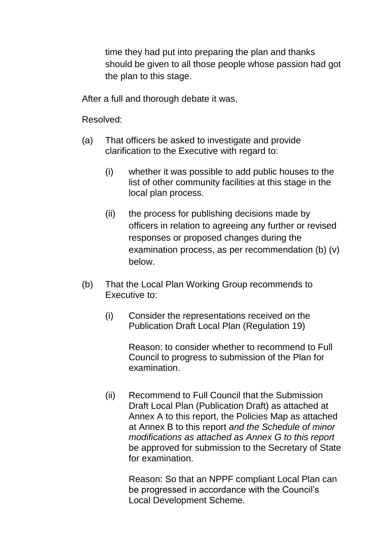time they had put into preparing the plan and thanks should be given to all those people whose passion had got the plan to this stage.

After a full and thorough debate it was,

Resolved:

- (a) That officers be asked to investigate and provide clarification to the Executive with regard to:
	- (i) whether it was possible to add public houses to the list of other community facilities at this stage in the local plan process.
	- (ii) the process for publishing decisions made by officers in relation to agreeing any further or revised responses or proposed changes during the examination process, as per recommendation (b) (v) below.
- (b) That the Local Plan Working Group recommends to Executive to:
	- (i) Consider the representations received on the Publication Draft Local Plan (Regulation 19)

Reason: to consider whether to recommend to Full Council to progress to submission of the Plan for examination.

(ii) Recommend to Full Council that the Submission Draft Local Plan (Publication Draft) as attached at Annex A to this report, the Policies Map as attached at Annex B to this report *and the Schedule of minor modifications as attached as Annex G to this report* be approved for submission to the Secretary of State for examination.

Reason: So that an NPPF compliant Local Plan can be progressed in accordance with the Council's Local Development Scheme.